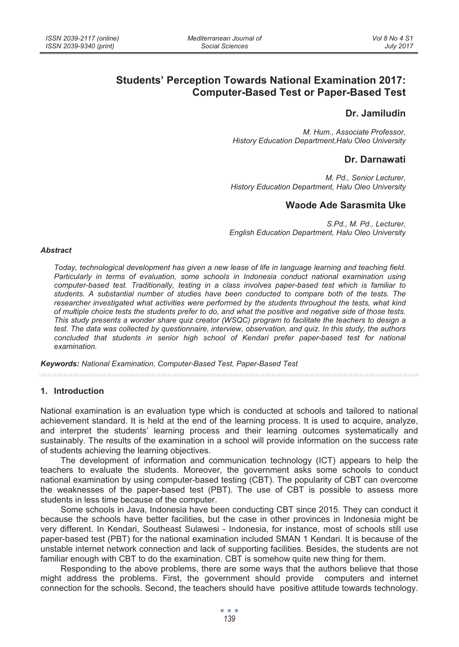# **Students' Perception Towards National Examination 2017: Computer-Based Test or Paper-Based Test**

# **Dr. Jamiludin**

*M. Hum., Associate Professor, History Education Department,Halu Oleo University* 

## **Dr. Darnawati**

*M. Pd., Senior Lecturer, History Education Department, Halu Oleo University* 

# **Waode Ade Sarasmita Uke**

*S.Pd., M. Pd., Lecturer, English Education Department, Halu Oleo University* 

#### *Abstract*

*Today, technological development has given a new lease of life in language learning and teaching field. Particularly in terms of evaluation, some schools in Indonesia conduct national examination using computer-based test. Traditionally, testing in a class involves paper-based test which is familiar to students. A substantial number of studies have been conducted to compare both of the tests. The researcher investigated what activities were performed by the students throughout the tests, what kind of multiple choice tests the students prefer to do, and what the positive and negative side of those tests. This study presents a wonder share quiz creator (WSQC) program to facilitate the teachers to design a test. The data was collected by questionnaire, interview, observation, and quiz. In this study, the authors concluded that students in senior high school of Kendari prefer paper-based test for national examination.* 

*Keywords: National Examination, Computer-Based Test, Paper-Based Test* 

### **1. Introduction**

National examination is an evaluation type which is conducted at schools and tailored to national achievement standard. It is held at the end of the learning process. It is used to acquire, analyze, and interpret the students' learning process and their learning outcomes systematically and sustainably. The results of the examination in a school will provide information on the success rate of students achieving the learning objectives.

The development of information and communication technology (ICT) appears to help the teachers to evaluate the students. Moreover, the government asks some schools to conduct national examination by using computer-based testing (CBT). The popularity of CBT can overcome the weaknesses of the paper-based test (PBT). The use of CBT is possible to assess more students in less time because of the computer.

Some schools in Java, Indonesia have been conducting CBT since 2015. They can conduct it because the schools have better facilities, but the case in other provinces in Indonesia might be very different. In Kendari, Southeast Sulawesi - Indonesia, for instance, most of schools still use paper-based test (PBT) for the national examination included SMAN 1 Kendari. It is because of the unstable internet network connection and lack of supporting facilities. Besides, the students are not familiar enough with CBT to do the examination. CBT is somehow quite new thing for them.

Responding to the above problems, there are some ways that the authors believe that those might address the problems. First, the government should provide computers and internet connection for the schools. Second, the teachers should have positive attitude towards technology.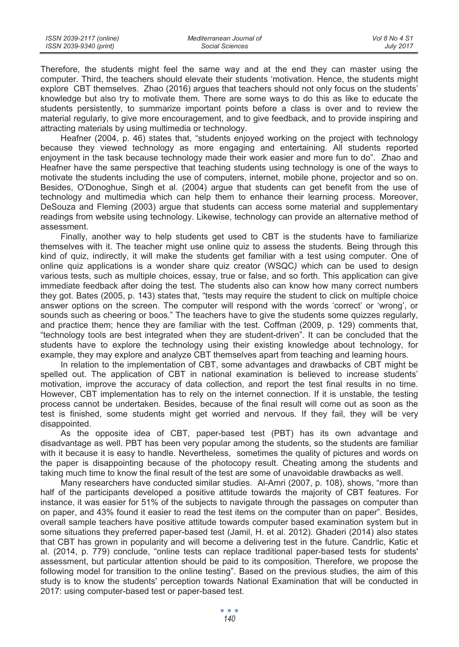| ISSN 2039-2117 (online) | Mediterranean Journal of | Vol 8 No 4 S1    |
|-------------------------|--------------------------|------------------|
| ISSN 2039-9340 (print)  | Social Sciences          | <b>July 2017</b> |

Therefore, the students might feel the same way and at the end they can master using the computer. Third, the teachers should elevate their students 'motivation. Hence, the students might explore CBT themselves. Zhao (2016) argues that teachers should not only focus on the students' knowledge but also try to motivate them. There are some ways to do this as like to educate the students persistently, to summarize important points before a class is over and to review the material regularly, to give more encouragement, and to give feedback, and to provide inspiring and attracting materials by using multimedia or technology.

Heafner (2004, p. 46) states that, "students enjoyed working on the project with technology because they viewed technology as more engaging and entertaining. All students reported enjoyment in the task because technology made their work easier and more fun to do". Zhao and Heafner have the same perspective that teaching students using technology is one of the ways to motivate the students including the use of computers, internet, mobile phone, projector and so on. Besides, O'Donoghue, Singh et al. (2004) argue that students can get benefit from the use of technology and multimedia which can help them to enhance their learning process. Moreover, DeSouza and Fleming (2003) argue that students can access some material and supplementary readings from website using technology. Likewise, technology can provide an alternative method of assessment.

Finally, another way to help students get used to CBT is the students have to familiarize themselves with it. The teacher might use online quiz to assess the students. Being through this kind of quiz, indirectly, it will make the students get familiar with a test using computer. One of online quiz applications is a wonder share quiz creator (WSQC*)* which can be used to design various tests, such as multiple choices, essay, true or false, and so forth. This application can give immediate feedback after doing the test. The students also can know how many correct numbers they got. Bates (2005, p. 143) states that, "tests may require the student to click on multiple choice answer options on the screen. The computer will respond with the words 'correct' or 'wrong', or sounds such as cheering or boos." The teachers have to give the students some quizzes regularly, and practice them; hence they are familiar with the test. Coffman (2009, p. 129) comments that, "technology tools are best integrated when they are student-driven". It can be concluded that the students have to explore the technology using their existing knowledge about technology, for example, they may explore and analyze CBT themselves apart from teaching and learning hours.

In relation to the implementation of CBT, some advantages and drawbacks of CBT might be spelled out. The application of CBT in national examination is believed to increase students' motivation, improve the accuracy of data collection, and report the test final results in no time. However, CBT implementation has to rely on the internet connection. If it is unstable, the testing process cannot be undertaken. Besides, because of the final result will come out as soon as the test is finished, some students might get worried and nervous. If they fail, they will be very disappointed.

As the opposite idea of CBT, paper-based test (PBT) has its own advantage and disadvantage as well. PBT has been very popular among the students, so the students are familiar with it because it is easy to handle. Nevertheless, sometimes the quality of pictures and words on the paper is disappointing because of the photocopy result. Cheating among the students and taking much time to know the final result of the test are some of unavoidable drawbacks as well.

Many researchers have conducted similar studies. Al-Amri (2007, p. 108), shows, "more than half of the participants developed a positive attitude towards the majority of CBT features. For instance, it was easier for 51% of the subjects to navigate through the passages on computer than on paper, and 43% found it easier to read the test items on the computer than on paper". Besides, overall sample teachers have positive attitude towards computer based examination system but in some situations they preferred paper-based test (Jamil, H. et al. 2012). Ghaderi (2014) also states that CBT has grown in popularity and will become a delivering test in the future. Candrlic, Katic et al. (2014, p. 779) conclude, "online tests can replace traditional paper-based tests for students' assessment, but particular attention should be paid to its composition. Therefore, we propose the following model for transition to the online testing". Based on the previous studies, the aim of this study is to know the students' perception towards National Examination that will be conducted in 2017: using computer-based test or paper-based test.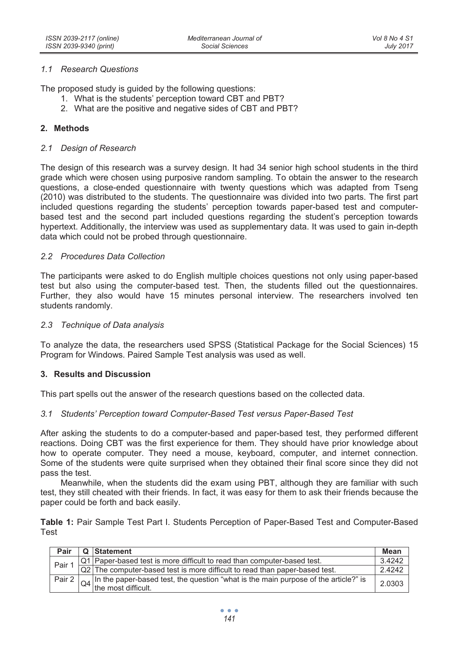### *1.1 Research Questions*

The proposed study is guided by the following questions:

- 1. What is the students' perception toward CBT and PBT?
- 2. What are the positive and negative sides of CBT and PBT?

### **2. Methods**

### *2.1 Design of Research*

The design of this research was a survey design. It had 34 senior high school students in the third grade which were chosen using purposive random sampling. To obtain the answer to the research questions, a close-ended questionnaire with twenty questions which was adapted from Tseng (2010) was distributed to the students. The questionnaire was divided into two parts. The first part included questions regarding the students' perception towards paper-based test and computerbased test and the second part included questions regarding the student's perception towards hypertext. Additionally, the interview was used as supplementary data. It was used to gain in-depth data which could not be probed through questionnaire.

### *2.2 Procedures Data Collection*

The participants were asked to do English multiple choices questions not only using paper-based test but also using the computer-based test. Then, the students filled out the questionnaires. Further, they also would have 15 minutes personal interview. The researchers involved ten students randomly.

#### *2.3 Technique of Data analysis*

To analyze the data, the researchers used SPSS (Statistical Package for the Social Sciences) 15 Program for Windows. Paired Sample Test analysis was used as well.

### **3. Results and Discussion**

This part spells out the answer of the research questions based on the collected data.

### *3.1 Students' Perception toward Computer-Based Test versus Paper-Based Test*

After asking the students to do a computer-based and paper-based test, they performed different reactions. Doing CBT was the first experience for them. They should have prior knowledge about how to operate computer. They need a mouse, keyboard, computer, and internet connection. Some of the students were quite surprised when they obtained their final score since they did not pass the test.

Meanwhile, when the students did the exam using PBT, although they are familiar with such test, they still cheated with their friends. In fact, it was easy for them to ask their friends because the paper could be forth and back easily.

**Table 1:** Pair Sample Test Part I. Students Perception of Paper-Based Test and Computer-Based Test

| Pair   | Q Statement                                                                                                              | Mean   |
|--------|--------------------------------------------------------------------------------------------------------------------------|--------|
| Pair 1 | Q1 Paper-based test is more difficult to read than computer-based test.                                                  | 3.4242 |
|        | Q2 The computer-based test is more difficult to read than paper-based test.                                              | 2.4242 |
| Pair 2 | $\alpha$ In the paper-based test, the question "what is the main purpose of the article?" is<br>$Q4$ the most difficult. | 2.0303 |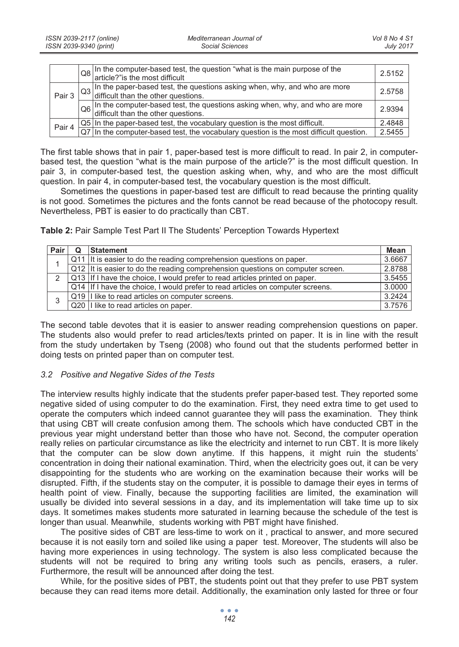|        | Q8 In the computer-based test, the question "what is the main purpose of the article?" is the most difficult                                                                                   | 2.5152 |
|--------|------------------------------------------------------------------------------------------------------------------------------------------------------------------------------------------------|--------|
| Pair 3 | $\log$ In the paper-based test, the questions asking when, why, and who are more difficult than the other questions.                                                                           | 2.5758 |
|        | $\log$ In the computer-based test, the questions asking when, why, and who are more difficult than the other questions.                                                                        | 2.9394 |
| Pair 4 | $\overline{QS}$ In the paper-based test, the vocabulary question is the most difficult.<br>$\overline{QT}$ In the computer-based test, the vocabulary question is the most difficult question. | 2.4848 |
|        |                                                                                                                                                                                                | 2.5455 |

The first table shows that in pair 1, paper-based test is more difficult to read. In pair 2, in computerbased test, the question "what is the main purpose of the article?" is the most difficult question. In pair 3, in computer-based test, the question asking when, why, and who are the most difficult question. In pair 4, in computer-based test, the vocabulary question is the most difficult.

Sometimes the questions in paper-based test are difficult to read because the printing quality is not good. Sometimes the pictures and the fonts cannot be read because of the photocopy result. Nevertheless, PBT is easier to do practically than CBT.

**Table 2:** Pair Sample Test Part II The Students' Perception Towards Hypertext

| Pair | <b>Statement</b>                                                               | Mean   |
|------|--------------------------------------------------------------------------------|--------|
|      | Q11 It is easier to do the reading comprehension questions on paper.           | 3.6667 |
|      | Q12 It is easier to do the reading comprehension questions on computer screen. | 2.8788 |
| 2    | Q13 If I have the choice. I would prefer to read articles printed on paper.    | 3.5455 |
|      | Q14 If I have the choice, I would prefer to read articles on computer screens. | 3.0000 |
| 3    | Q19   I like to read articles on computer screens.                             | 3.2424 |
|      | Q20 I like to read articles on paper.                                          | 3.7576 |

The second table devotes that it is easier to answer reading comprehension questions on paper. The students also would prefer to read articles/texts printed on paper. It is in line with the result from the study undertaken by Tseng (2008) who found out that the students performed better in doing tests on printed paper than on computer test.

## *3.2 Positive and Negative Sides of the Tests*

The interview results highly indicate that the students prefer paper-based test. They reported some negative sided of using computer to do the examination. First, they need extra time to get used to operate the computers which indeed cannot guarantee they will pass the examination. They think that using CBT will create confusion among them. The schools which have conducted CBT in the previous year might understand better than those who have not. Second, the computer operation really relies on particular circumstance as like the electricity and internet to run CBT. It is more likely that the computer can be slow down anytime. If this happens, it might ruin the students' concentration in doing their national examination. Third, when the electricity goes out, it can be very disappointing for the students who are working on the examination because their works will be disrupted. Fifth, if the students stay on the computer, it is possible to damage their eyes in terms of health point of view. Finally, because the supporting facilities are limited, the examination will usually be divided into several sessions in a day, and its implementation will take time up to six days. It sometimes makes students more saturated in learning because the schedule of the test is longer than usual. Meanwhile, students working with PBT might have finished.

The positive sides of CBT are less-time to work on it , practical to answer, and more secured because it is not easily torn and soiled like using a paper test. Moreover, The students will also be having more experiences in using technology. The system is also less complicated because the students will not be required to bring any writing tools such as pencils, erasers, a ruler. Furthermore, the result will be announced after doing the test.

While, for the positive sides of PBT, the students point out that they prefer to use PBT system because they can read items more detail. Additionally, the examination only lasted for three or four